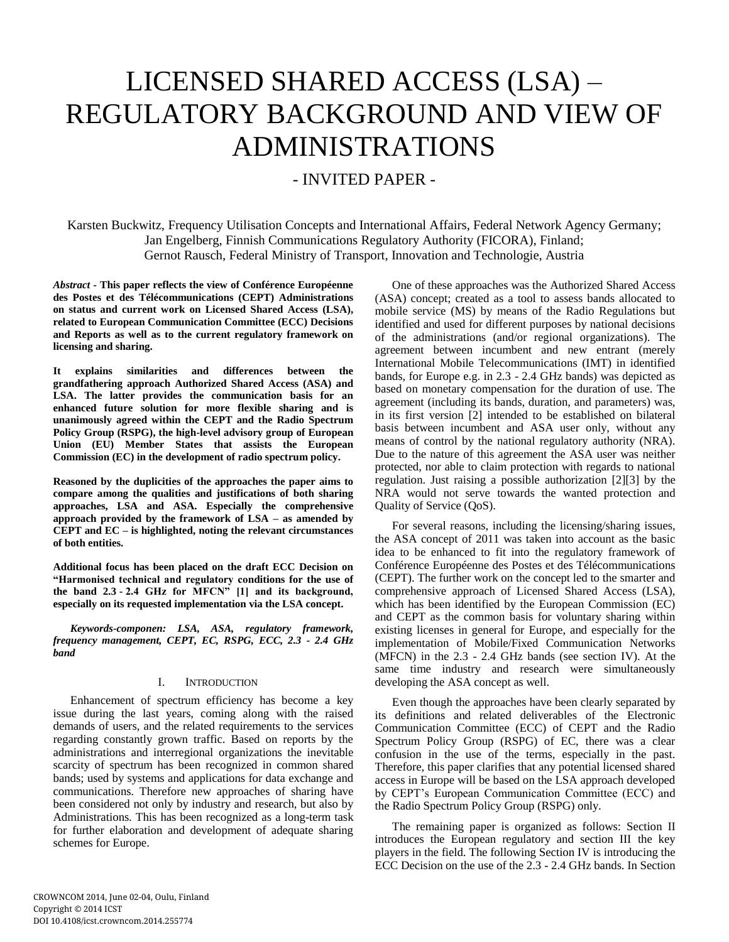# LICENSED SHARED ACCESS (LSA) – REGULATORY BACKGROUND AND VIEW OF ADMINISTRATIONS

## - INVITED PAPER -

Karsten Buckwitz, Frequency Utilisation Concepts and International Affairs, Federal Network Agency Germany; Jan Engelberg, Finnish Communications Regulatory Authority (FICORA), Finland; Gernot Rausch, Federal Ministry of Transport, Innovation and Technologie, Austria

*Abstract* **- This paper reflects the view of Conférence Européenne des Postes et des Télécommunications (CEPT) Administrations on status and current work on Licensed Shared Access (LSA), related to European Communication Committee (ECC) Decisions and Reports as well as to the current regulatory framework on licensing and sharing.** 

**It explains similarities and differences between the grandfathering approach Authorized Shared Access (ASA) and LSA. The latter provides the communication basis for an enhanced future solution for more flexible sharing and is unanimously agreed within the CEPT and the Radio Spectrum Policy Group (RSPG), the high-level advisory group of European Union (EU) Member States that assists the European Commission (EC) in the development of radio spectrum policy.** 

**Reasoned by the duplicities of the approaches the paper aims to compare among the qualities and justifications of both sharing approaches, LSA and ASA. Especially the comprehensive approach provided by the framework of LSA – as amended by CEPT and EC – is highlighted, noting the relevant circumstances of both entities.** 

**Additional focus has been placed on the draft ECC Decision on "Harmonised technical and regulatory conditions for the use of the band 2.3 - 2.4 GHz for MFCN" [1] and its background, especially on its requested implementation via the LSA concept.**

*Keywords-componen: LSA, ASA, regulatory framework, frequency management, CEPT, EC, RSPG, ECC, 2.3 - 2.4 GHz band*

#### I. INTRODUCTION

Enhancement of spectrum efficiency has become a key issue during the last years, coming along with the raised demands of users, and the related requirements to the services regarding constantly grown traffic. Based on reports by the administrations and interregional organizations the inevitable scarcity of spectrum has been recognized in common shared bands; used by systems and applications for data exchange and communications. Therefore new approaches of sharing have been considered not only by industry and research, but also by Administrations. This has been recognized as a long-term task for further elaboration and development of adequate sharing schemes for Europe.

One of these approaches was the Authorized Shared Access (ASA) concept; created as a tool to assess bands allocated to mobile service (MS) by means of the Radio Regulations but identified and used for different purposes by national decisions of the administrations (and/or regional organizations). The agreement between incumbent and new entrant (merely International Mobile Telecommunications (IMT) in identified bands, for Europe e.g. in 2.3 - 2.4 GHz bands) was depicted as based on monetary compensation for the duration of use. The agreement (including its bands, duration, and parameters) was, in its first version [2] intended to be established on bilateral basis between incumbent and ASA user only, without any means of control by the national regulatory authority (NRA). Due to the nature of this agreement the ASA user was neither protected, nor able to claim protection with regards to national regulation. Just raising a possible authorization [2][3] by the NRA would not serve towards the wanted protection and Quality of Service (QoS).

For several reasons, including the licensing/sharing issues, the ASA concept of 2011 was taken into account as the basic idea to be enhanced to fit into the regulatory framework of Conférence Européenne des Postes et des Télécommunications (CEPT). The further work on the concept led to the smarter and comprehensive approach of Licensed Shared Access (LSA), which has been identified by the European Commission (EC) and CEPT as the common basis for voluntary sharing within existing licenses in general for Europe, and especially for the implementation of Mobile/Fixed Communication Networks (MFCN) in the 2.3 - 2.4 GHz bands (see section IV). At the same time industry and research were simultaneously developing the ASA concept as well.

Even though the approaches have been clearly separated by its definitions and related deliverables of the Electronic Communication Committee (ECC) of CEPT and the Radio Spectrum Policy Group (RSPG) of EC, there was a clear confusion in the use of the terms, especially in the past. Therefore, this paper clarifies that any potential licensed shared access in Europe will be based on the LSA approach developed by CEPT's European Communication Committee (ECC) and the Radio Spectrum Policy Group (RSPG) only.

The remaining paper is organized as follows: Section II introduces the European regulatory and section III the key players in the field. The following Section IV is introducing the ECC Decision on the use of the  $2.3$  - 2.4 GHz bands. In Section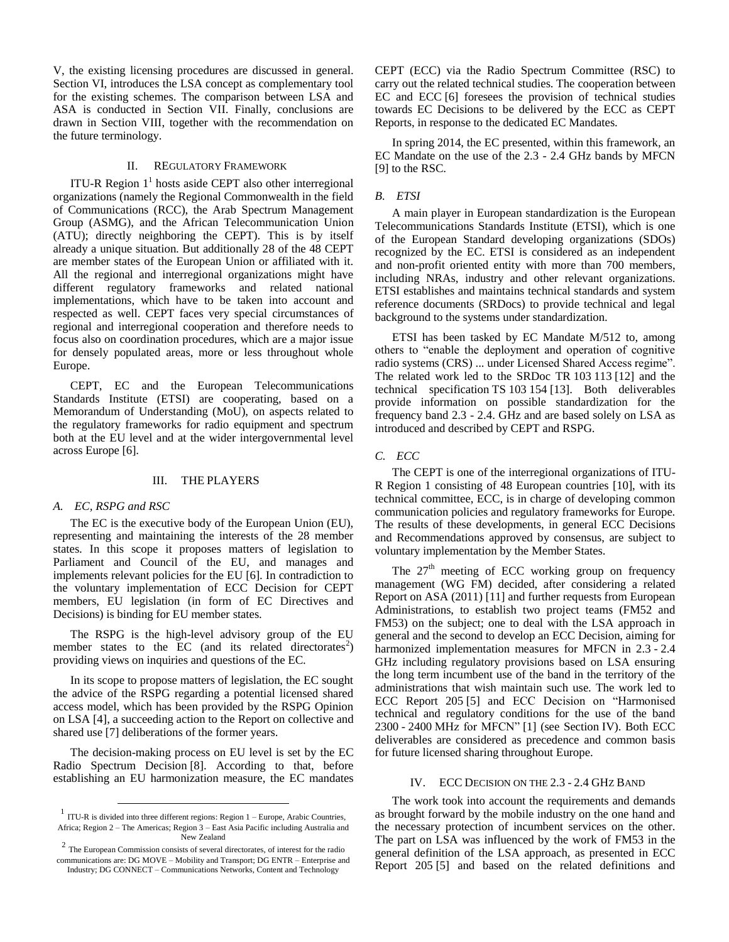V, the existing licensing procedures are discussed in general. Section VI, introduces the LSA concept as complementary tool for the existing schemes. The comparison between LSA and ASA is conducted in Section VII. Finally, conclusions are drawn in Section VIII, together with the recommendation on the future terminology.

#### II. REGULATORY FRAMEWORK

ITU-R Region  $1^1$  hosts aside CEPT also other interregional organizations (namely the Regional Commonwealth in the field of Communications (RCC), the Arab Spectrum Management Group (ASMG), and the African Telecommunication Union (ATU); directly neighboring the CEPT). This is by itself already a unique situation. But additionally 28 of the 48 CEPT are member states of the European Union or affiliated with it. All the regional and interregional organizations might have different regulatory frameworks and related national implementations, which have to be taken into account and respected as well. CEPT faces very special circumstances of regional and interregional cooperation and therefore needs to focus also on coordination procedures, which are a major issue for densely populated areas, more or less throughout whole Europe.

CEPT, EC and the European Telecommunications Standards Institute (ETSI) are cooperating, based on a Memorandum of Understanding (MoU), on aspects related to the regulatory frameworks for radio equipment and spectrum both at the EU level and at the wider intergovernmental level across Europe [6].

#### III. THE PLAYERS

#### *A. EC, RSPG and RSC*

l

The EC is the executive body of the European Union (EU), representing and maintaining the interests of the 28 member states. In this scope it proposes matters of legislation to Parliament and Council of the EU, and manages and implements relevant policies for the EU [6]. In contradiction to the voluntary implementation of ECC Decision for CEPT members, EU legislation (in form of EC Directives and Decisions) is binding for EU member states.

The RSPG is the high-level advisory group of the EU member states to the  $\overline{EC}$  (and its related directorates<sup>2</sup>) providing views on inquiries and questions of the EC.

In its scope to propose matters of legislation, the EC sought the advice of the RSPG regarding a potential licensed shared access model, which has been provided by the RSPG Opinion on LSA [4], a succeeding action to the Report on collective and shared use [7] deliberations of the former years.

The decision-making process on EU level is set by the EC Radio Spectrum Decision [8]. According to that, before establishing an EU harmonization measure, the EC mandates CEPT (ECC) via the Radio Spectrum Committee (RSC) to carry out the related technical studies. The cooperation between EC and ECC [6] foresees the provision of technical studies towards EC Decisions to be delivered by the ECC as CEPT Reports, in response to the dedicated EC Mandates.

In spring 2014, the EC presented, within this framework, an EC Mandate on the use of the 2.3 - 2.4 GHz bands by MFCN [9] to the RSC.

#### *B. ETSI*

A main player in European standardization is the European Telecommunications Standards Institute (ETSI), which is one of the European Standard developing organizations (SDOs) recognized by the EC. ETSI is considered as an independent and non-profit oriented entity with more than 700 members, including NRAs, industry and other relevant organizations. ETSI establishes and maintains technical standards and system reference documents (SRDocs) to provide technical and legal background to the systems under standardization.

ETSI has been tasked by EC Mandate M/512 to, among others to "enable the deployment and operation of cognitive radio systems (CRS) ... under Licensed Shared Access regime". The related work led to the SRDoc TR 103 113 [12] and the technical specification TS 103 154 [13]. Both deliverables provide information on possible standardization for the frequency band 2.3 - 2.4. GHz and are based solely on LSA as introduced and described by CEPT and RSPG.

#### *C. ECC*

The CEPT is one of the interregional organizations of ITU-R Region 1 consisting of 48 European countries [10], with its technical committee, ECC, is in charge of developing common communication policies and regulatory frameworks for Europe. The results of these developments, in general ECC Decisions and Recommendations approved by consensus, are subject to voluntary implementation by the Member States.

The  $27<sup>th</sup>$  meeting of ECC working group on frequency management (WG FM) decided, after considering a related Report on ASA (2011) [11] and further requests from European Administrations, to establish two project teams (FM52 and FM53) on the subject; one to deal with the LSA approach in general and the second to develop an ECC Decision, aiming for harmonized implementation measures for MFCN in 2.3 - 2.4 GHz including regulatory provisions based on LSA ensuring the long term incumbent use of the band in the territory of the administrations that wish maintain such use. The work led to ECC Report 205 [5] and ECC Decision on "Harmonised technical and regulatory conditions for the use of the band 2300 - 2400 MHz for MFCN" [1] (see Section IV). Both ECC deliverables are considered as precedence and common basis for future licensed sharing throughout Europe.

#### IV. ECC DECISION ON THE 2.3 - 2.4 GHZ BAND

The work took into account the requirements and demands as brought forward by the mobile industry on the one hand and the necessary protection of incumbent services on the other. The part on LSA was influenced by the work of FM53 in the general definition of the LSA approach, as presented in ECC Report 205 [5] and based on the related definitions and

<sup>1</sup> ITU-R is divided into three different regions: Region 1 – Europe, Arabic Countries, Africa; Region 2 – The Americas; Region 3 – East Asia Pacific including Australia and New Zealand

<sup>&</sup>lt;sup>2</sup> The European Commission consists of several directorates, of interest for the radio communications are: DG MOVE – Mobility and Transport; DG ENTR – Enterprise and Industry; DG CONNECT – Communications Networks, Content and Technology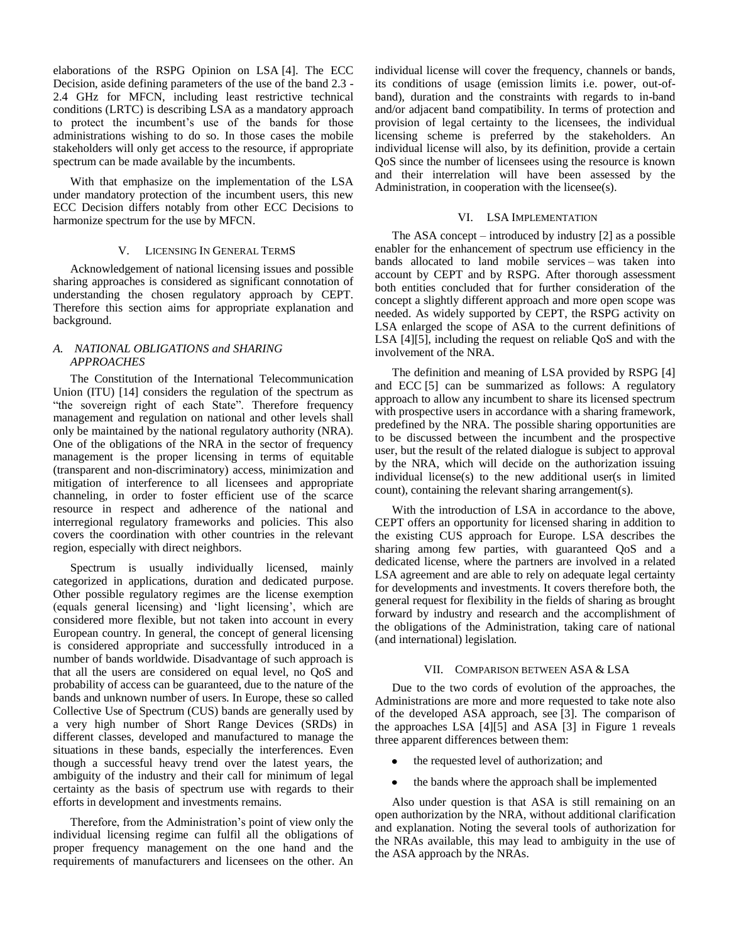elaborations of the RSPG Opinion on LSA [4]. The ECC Decision, aside defining parameters of the use of the band 2.3 - 2.4 GHz for MFCN, including least restrictive technical conditions (LRTC) is describing LSA as a mandatory approach to protect the incumbent's use of the bands for those administrations wishing to do so. In those cases the mobile stakeholders will only get access to the resource, if appropriate spectrum can be made available by the incumbents.

With that emphasize on the implementation of the LSA under mandatory protection of the incumbent users, this new ECC Decision differs notably from other ECC Decisions to harmonize spectrum for the use by MFCN.

#### V. LICENSING IN GENERAL TERMS

Acknowledgement of national licensing issues and possible sharing approaches is considered as significant connotation of understanding the chosen regulatory approach by CEPT. Therefore this section aims for appropriate explanation and background.

### *A. NATIONAL OBLIGATIONS and SHARING APPROACHES*

The Constitution of the International Telecommunication Union (ITU) [14] considers the regulation of the spectrum as "the sovereign right of each State". Therefore frequency management and regulation on national and other levels shall only be maintained by the national regulatory authority (NRA). One of the obligations of the NRA in the sector of frequency management is the proper licensing in terms of equitable (transparent and non-discriminatory) access, minimization and mitigation of interference to all licensees and appropriate channeling, in order to foster efficient use of the scarce resource in respect and adherence of the national and interregional regulatory frameworks and policies. This also covers the coordination with other countries in the relevant region, especially with direct neighbors.

Spectrum is usually individually licensed, mainly categorized in applications, duration and dedicated purpose. Other possible regulatory regimes are the license exemption (equals general licensing) and 'light licensing', which are considered more flexible, but not taken into account in every European country. In general, the concept of general licensing is considered appropriate and successfully introduced in a number of bands worldwide. Disadvantage of such approach is that all the users are considered on equal level, no QoS and probability of access can be guaranteed, due to the nature of the bands and unknown number of users. In Europe, these so called Collective Use of Spectrum (CUS) bands are generally used by a very high number of Short Range Devices (SRDs) in different classes, developed and manufactured to manage the situations in these bands, especially the interferences. Even though a successful heavy trend over the latest years, the ambiguity of the industry and their call for minimum of legal certainty as the basis of spectrum use with regards to their efforts in development and investments remains.

Therefore, from the Administration's point of view only the individual licensing regime can fulfil all the obligations of proper frequency management on the one hand and the requirements of manufacturers and licensees on the other. An

individual license will cover the frequency, channels or bands, its conditions of usage (emission limits i.e. power, out-ofband), duration and the constraints with regards to in-band and/or adjacent band compatibility. In terms of protection and provision of legal certainty to the licensees, the individual licensing scheme is preferred by the stakeholders. An individual license will also, by its definition, provide a certain QoS since the number of licensees using the resource is known and their interrelation will have been assessed by the Administration, in cooperation with the licensee(s).

#### VI. LSA IMPLEMENTATION

The ASA concept – introduced by industry [\[2\]](#page-3-0) as a possible enabler for the enhancement of spectrum use efficiency in the bands allocated to land mobile services – was taken into account by CEPT and by RSPG. After thorough assessment both entities concluded that for further consideration of the concept a slightly different approach and more open scope was needed. As widely supported by CEPT, the RSPG activity on LSA enlarged the scope of ASA to the current definitions of LSA [4][5], including the request on reliable QoS and with the involvement of the NRA.

The definition and meaning of LSA provided by RSPG [4] and ECC [5] can be summarized as follows: A regulatory approach to allow any incumbent to share its licensed spectrum with prospective users in accordance with a sharing framework, predefined by the NRA. The possible sharing opportunities are to be discussed between the incumbent and the prospective user, but the result of the related dialogue is subject to approval by the NRA, which will decide on the authorization issuing individual license(s) to the new additional user(s in limited count), containing the relevant sharing arrangement(s).

With the introduction of LSA in accordance to the above, CEPT offers an opportunity for licensed sharing in addition to the existing CUS approach for Europe. LSA describes the sharing among few parties, with guaranteed QoS and a dedicated license, where the partners are involved in a related LSA agreement and are able to rely on adequate legal certainty for developments and investments. It covers therefore both, the general request for flexibility in the fields of sharing as brought forward by industry and research and the accomplishment of the obligations of the Administration, taking care of national (and international) legislation.

#### VII. COMPARISON BETWEEN ASA & LSA

Due to the two cords of evolution of the approaches, the Administrations are more and more requested to take note also of the developed ASA approach, see [3]. The comparison of the approaches LSA [4][5] and ASA [3] in [Figure 1](#page-3-1) reveals three apparent differences between them:

- the requested level of authorization; and
- the bands where the approach shall be implemented

Also under question is that ASA is still remaining on an open authorization by the NRA, without additional clarification and explanation. Noting the several tools of authorization for the NRAs available, this may lead to ambiguity in the use of the ASA approach by the NRAs.